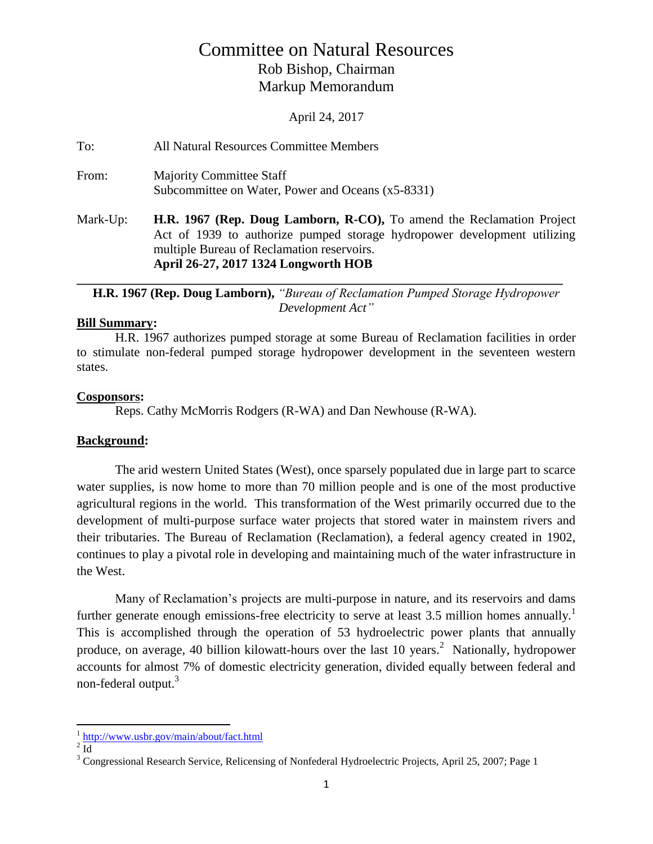# Committee on Natural Resources Rob Bishop, Chairman Markup Memorandum

April 24, 2017

To: All Natural Resources Committee Members

From: Majority Committee Staff Subcommittee on Water, Power and Oceans (x5-8331)

Mark-Up: **H.R. 1967 (Rep. Doug Lamborn, R-CO),** To amend the Reclamation Project Act of 1939 to authorize pumped storage hydropower development utilizing multiple Bureau of Reclamation reservoirs. **April 26-27, 2017 1324 Longworth HOB**

# **\_\_\_\_\_\_\_\_\_\_\_\_\_\_\_\_\_\_\_\_\_\_\_\_\_\_\_\_\_\_\_\_\_\_\_\_\_\_\_\_\_\_\_\_\_\_\_\_\_\_\_\_\_\_\_\_\_\_\_\_\_\_\_\_\_\_\_\_\_\_\_\_\_\_\_\_ H.R. 1967 (Rep. Doug Lamborn),** *"Bureau of Reclamation Pumped Storage Hydropower Development Act"*

# **Bill Summary:**

H.R. 1967 authorizes pumped storage at some Bureau of Reclamation facilities in order to stimulate non-federal pumped storage hydropower development in the seventeen western states.

# **Cosponsors:**

Reps. Cathy McMorris Rodgers (R-WA) and Dan Newhouse (R-WA).

# **Background:**

The arid western United States (West), once sparsely populated due in large part to scarce water supplies, is now home to more than 70 million people and is one of the most productive agricultural regions in the world. This transformation of the West primarily occurred due to the development of multi-purpose surface water projects that stored water in mainstem rivers and their tributaries. The Bureau of Reclamation (Reclamation), a federal agency created in 1902, continues to play a pivotal role in developing and maintaining much of the water infrastructure in the West.

Many of Reclamation's projects are multi-purpose in nature, and its reservoirs and dams further generate enough emissions-free electricity to serve at least 3.5 million homes annually.<sup>1</sup> This is accomplished through the operation of 53 hydroelectric power plants that annually produce, on average, 40 billion kilowatt-hours over the last 10 years.<sup>2</sup> Nationally, hydropower accounts for almost 7% of domestic electricity generation, divided equally between federal and non-federal output.<sup>3</sup>

<sup>&</sup>lt;sup>1</sup> http://www.usbr.gov/main/about/fact.html

 $2\overline{Id}$ 

<sup>&</sup>lt;sup>3</sup> Congressional Research Service, Relicensing of Nonfederal Hydroelectric Projects, April 25, 2007; Page 1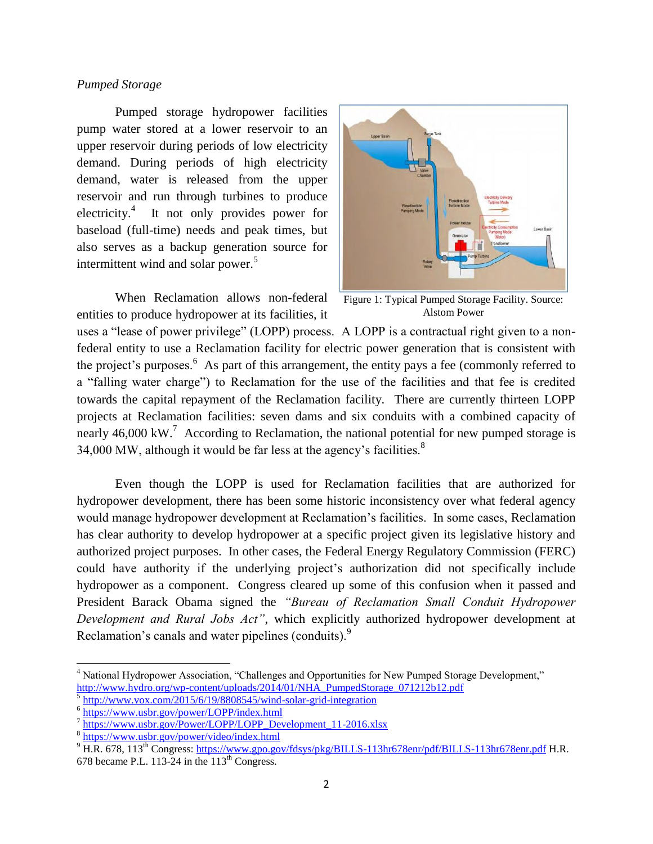# *Pumped Storage*

Pumped storage hydropower facilities pump water stored at a lower reservoir to an upper reservoir during periods of low electricity demand. During periods of high electricity demand, water is released from the upper reservoir and run through turbines to produce electricity.<sup>4</sup> It not only provides power for baseload (full-time) needs and peak times, but also serves as a backup generation source for intermittent wind and solar power.<sup>5</sup>

When Reclamation allows non-federal entities to produce hydropower at its facilities, it



Figure 1: Typical Pumped Storage Facility. Source: Alstom Power

uses a "lease of power privilege" (LOPP) process. A LOPP is a contractual right given to a nonfederal entity to use a Reclamation facility for electric power generation that is consistent with the project's purposes.<sup>6</sup> As part of this arrangement, the entity pays a fee (commonly referred to a "falling water charge") to Reclamation for the use of the facilities and that fee is credited towards the capital repayment of the Reclamation facility. There are currently thirteen LOPP projects at Reclamation facilities: seven dams and six conduits with a combined capacity of nearly 46,000 kW.<sup>7</sup> According to Reclamation, the national potential for new pumped storage is 34,000 MW, although it would be far less at the agency's facilities. $8$ 

Even though the LOPP is used for Reclamation facilities that are authorized for hydropower development, there has been some historic inconsistency over what federal agency would manage hydropower development at Reclamation's facilities. In some cases, Reclamation has clear authority to develop hydropower at a specific project given its legislative history and authorized project purposes. In other cases, the Federal Energy Regulatory Commission (FERC) could have authority if the underlying project's authorization did not specifically include hydropower as a component. Congress cleared up some of this confusion when it passed and President Barack Obama signed the *"Bureau of Reclamation Small Conduit Hydropower Development and Rural Jobs Act"*, which explicitly authorized hydropower development at Reclamation's canals and water pipelines (conduits).<sup>9</sup>

 $\overline{a}$ 

<sup>&</sup>lt;sup>4</sup> National Hydropower Association, "Challenges and Opportunities for New Pumped Storage Development," http://www.hydro.org/wp-content/uploads/2014/01/NHA\_PumpedStorage\_071212b12.pdf 5

<http://www.vox.com/2015/6/19/8808545/wind-solar-grid-integration>

<sup>&</sup>lt;sup>6</sup> <https://www.usbr.gov/power/LOPP/index.html>

<sup>&</sup>lt;sup>7</sup> [https://www.usbr.gov/Power/LOPP/LOPP\\_Development\\_11-2016.xlsx](https://www.usbr.gov/Power/LOPP/LOPP_Development_11-2016.xlsx)

<sup>8</sup> <https://www.usbr.gov/power/video/index.html>

 $^{9}$  H.R. 678, 113<sup>th</sup> Congress:<https://www.gpo.gov/fdsys/pkg/BILLS-113hr678enr/pdf/BILLS-113hr678enr.pdf> H.R.

<sup>678</sup> became P.L. 113-24 in the  $113<sup>th</sup>$  Congress.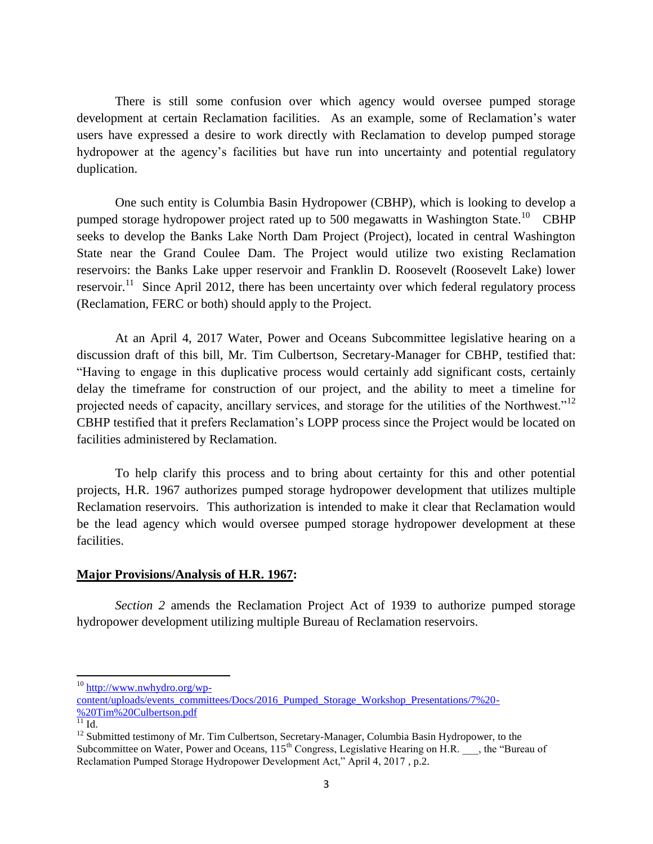There is still some confusion over which agency would oversee pumped storage development at certain Reclamation facilities. As an example, some of Reclamation's water users have expressed a desire to work directly with Reclamation to develop pumped storage hydropower at the agency's facilities but have run into uncertainty and potential regulatory duplication.

One such entity is Columbia Basin Hydropower (CBHP), which is looking to develop a pumped storage hydropower project rated up to 500 megawatts in Washington State.<sup>10</sup> CBHP seeks to develop the Banks Lake North Dam Project (Project), located in central Washington State near the Grand Coulee Dam. The Project would utilize two existing Reclamation reservoirs: the Banks Lake upper reservoir and Franklin D. Roosevelt (Roosevelt Lake) lower reservoir.<sup>11</sup> Since April 2012, there has been uncertainty over which federal regulatory process (Reclamation, FERC or both) should apply to the Project.

At an April 4, 2017 Water, Power and Oceans Subcommittee legislative hearing on a discussion draft of this bill, Mr. Tim Culbertson, Secretary-Manager for CBHP, testified that: "Having to engage in this duplicative process would certainly add significant costs, certainly delay the timeframe for construction of our project, and the ability to meet a timeline for projected needs of capacity, ancillary services, and storage for the utilities of the Northwest."<sup>12</sup> CBHP testified that it prefers Reclamation's LOPP process since the Project would be located on facilities administered by Reclamation.

To help clarify this process and to bring about certainty for this and other potential projects, H.R. 1967 authorizes pumped storage hydropower development that utilizes multiple Reclamation reservoirs. This authorization is intended to make it clear that Reclamation would be the lead agency which would oversee pumped storage hydropower development at these facilities.

# **Major Provisions/Analysis of H.R. 1967:**

*Section 2* amends the Reclamation Project Act of 1939 to authorize pumped storage hydropower development utilizing multiple Bureau of Reclamation reservoirs.

 $\overline{\phantom{a}}$ 

<sup>&</sup>lt;sup>10</sup> [http://www.nwhydro.org/wp-](http://www.nwhydro.org/wp-content/uploads/events_committees/Docs/2016_Pumped_Storage_Workshop_Presentations/7%20-%20Tim%20Culbertson.pdf)

[content/uploads/events\\_committees/Docs/2016\\_Pumped\\_Storage\\_Workshop\\_Presentations/7%20-](http://www.nwhydro.org/wp-content/uploads/events_committees/Docs/2016_Pumped_Storage_Workshop_Presentations/7%20-%20Tim%20Culbertson.pdf) [%20Tim%20Culbertson.pdf](http://www.nwhydro.org/wp-content/uploads/events_committees/Docs/2016_Pumped_Storage_Workshop_Presentations/7%20-%20Tim%20Culbertson.pdf)

 $\overline{11}$  Id.

<sup>&</sup>lt;sup>12</sup> Submitted testimony of Mr. Tim Culbertson, Secretary-Manager, Columbia Basin Hydropower, to the Subcommittee on Water, Power and Oceans,  $115<sup>th</sup>$  Congress, Legislative Hearing on H.R.  $\overline{ }$ , the "Bureau of Reclamation Pumped Storage Hydropower Development Act," April 4, 2017 , p.2.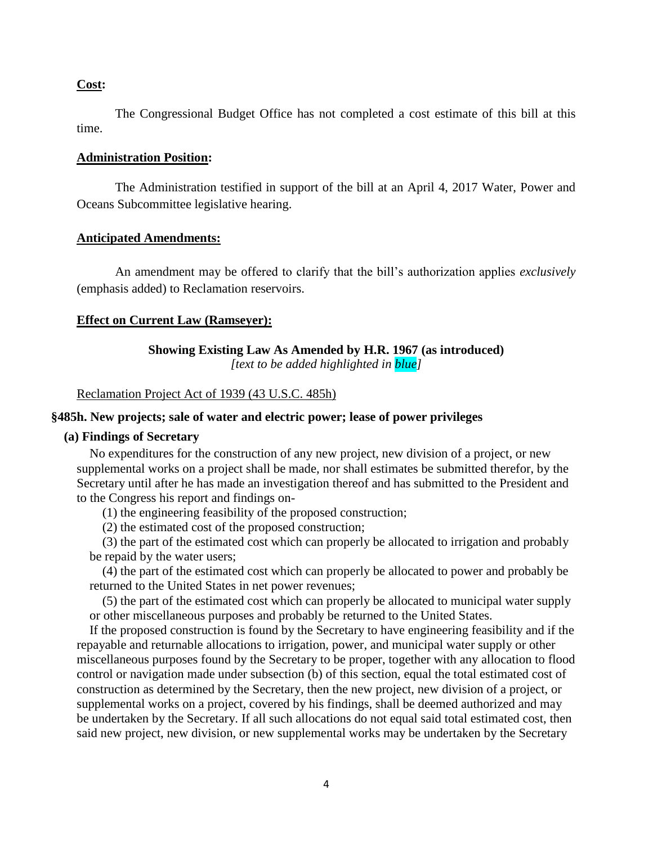# **Cost:**

The Congressional Budget Office has not completed a cost estimate of this bill at this time.

# **Administration Position:**

The Administration testified in support of the bill at an April 4, 2017 Water, Power and Oceans Subcommittee legislative hearing.

# **Anticipated Amendments:**

An amendment may be offered to clarify that the bill's authorization applies *exclusively* (emphasis added) to Reclamation reservoirs.

#### **Effect on Current Law (Ramseyer):**

# **Showing Existing Law As Amended by H.R. 1967 (as introduced)**

*[text to be added highlighted in blue]*

## Reclamation Project Act of 1939 (43 U.S.C. 485h)

# **§485h. New projects; sale of water and electric power; lease of power privileges**

### **(a) Findings of Secretary**

No expenditures for the construction of any new project, new division of a project, or new supplemental works on a project shall be made, nor shall estimates be submitted therefor, by the Secretary until after he has made an investigation thereof and has submitted to the President and to the Congress his report and findings on-

(1) the engineering feasibility of the proposed construction;

(2) the estimated cost of the proposed construction;

(3) the part of the estimated cost which can properly be allocated to irrigation and probably be repaid by the water users;

(4) the part of the estimated cost which can properly be allocated to power and probably be returned to the United States in net power revenues;

(5) the part of the estimated cost which can properly be allocated to municipal water supply or other miscellaneous purposes and probably be returned to the United States.

If the proposed construction is found by the Secretary to have engineering feasibility and if the repayable and returnable allocations to irrigation, power, and municipal water supply or other miscellaneous purposes found by the Secretary to be proper, together with any allocation to flood control or navigation made under subsection (b) of this section, equal the total estimated cost of construction as determined by the Secretary, then the new project, new division of a project, or supplemental works on a project, covered by his findings, shall be deemed authorized and may be undertaken by the Secretary. If all such allocations do not equal said total estimated cost, then said new project, new division, or new supplemental works may be undertaken by the Secretary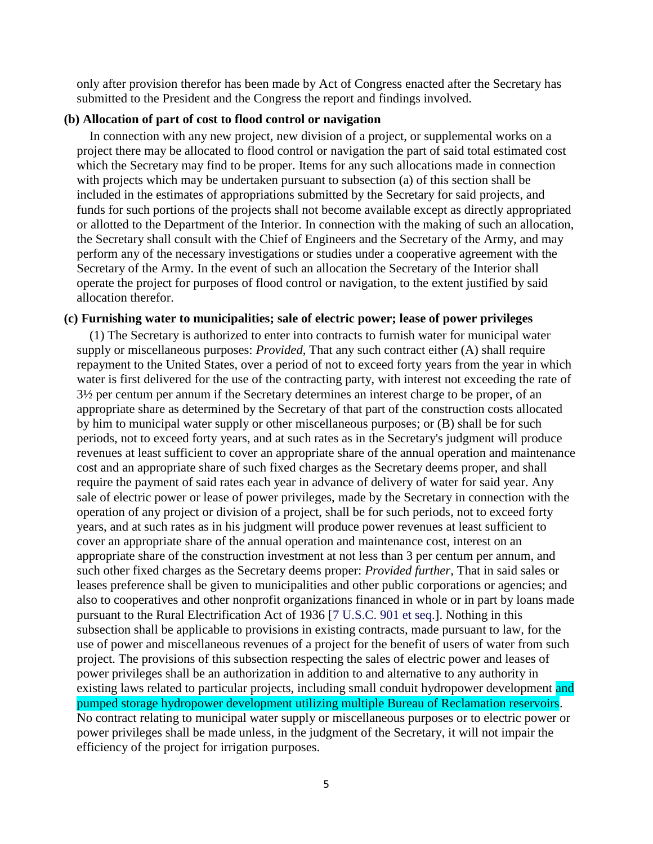only after provision therefor has been made by Act of Congress enacted after the Secretary has submitted to the President and the Congress the report and findings involved.

### **(b) Allocation of part of cost to flood control or navigation**

In connection with any new project, new division of a project, or supplemental works on a project there may be allocated to flood control or navigation the part of said total estimated cost which the Secretary may find to be proper. Items for any such allocations made in connection with projects which may be undertaken pursuant to subsection (a) of this section shall be included in the estimates of appropriations submitted by the Secretary for said projects, and funds for such portions of the projects shall not become available except as directly appropriated or allotted to the Department of the Interior. In connection with the making of such an allocation, the Secretary shall consult with the Chief of Engineers and the Secretary of the Army, and may perform any of the necessary investigations or studies under a cooperative agreement with the Secretary of the Army. In the event of such an allocation the Secretary of the Interior shall operate the project for purposes of flood control or navigation, to the extent justified by said allocation therefor.

### **(c) Furnishing water to municipalities; sale of electric power; lease of power privileges**

(1) The Secretary is authorized to enter into contracts to furnish water for municipal water supply or miscellaneous purposes: *Provided*, That any such contract either (A) shall require repayment to the United States, over a period of not to exceed forty years from the year in which water is first delivered for the use of the contracting party, with interest not exceeding the rate of 3½ per centum per annum if the Secretary determines an interest charge to be proper, of an appropriate share as determined by the Secretary of that part of the construction costs allocated by him to municipal water supply or other miscellaneous purposes; or (B) shall be for such periods, not to exceed forty years, and at such rates as in the Secretary's judgment will produce revenues at least sufficient to cover an appropriate share of the annual operation and maintenance cost and an appropriate share of such fixed charges as the Secretary deems proper, and shall require the payment of said rates each year in advance of delivery of water for said year. Any sale of electric power or lease of power privileges, made by the Secretary in connection with the operation of any project or division of a project, shall be for such periods, not to exceed forty years, and at such rates as in his judgment will produce power revenues at least sufficient to cover an appropriate share of the annual operation and maintenance cost, interest on an appropriate share of the construction investment at not less than 3 per centum per annum, and such other fixed charges as the Secretary deems proper: *Provided further*, That in said sales or leases preference shall be given to municipalities and other public corporations or agencies; and also to cooperatives and other nonprofit organizations financed in whole or in part by loans made pursuant to the Rural Electrification Act of 1936 [7 U.S.C. 901 et seq.]. Nothing in this subsection shall be applicable to provisions in existing contracts, made pursuant to law, for the use of power and miscellaneous revenues of a project for the benefit of users of water from such project. The provisions of this subsection respecting the sales of electric power and leases of power privileges shall be an authorization in addition to and alternative to any authority in existing laws related to particular projects, including small conduit hydropower development and pumped storage hydropower development utilizing multiple Bureau of Reclamation reservoirs. No contract relating to municipal water supply or miscellaneous purposes or to electric power or power privileges shall be made unless, in the judgment of the Secretary, it will not impair the efficiency of the project for irrigation purposes.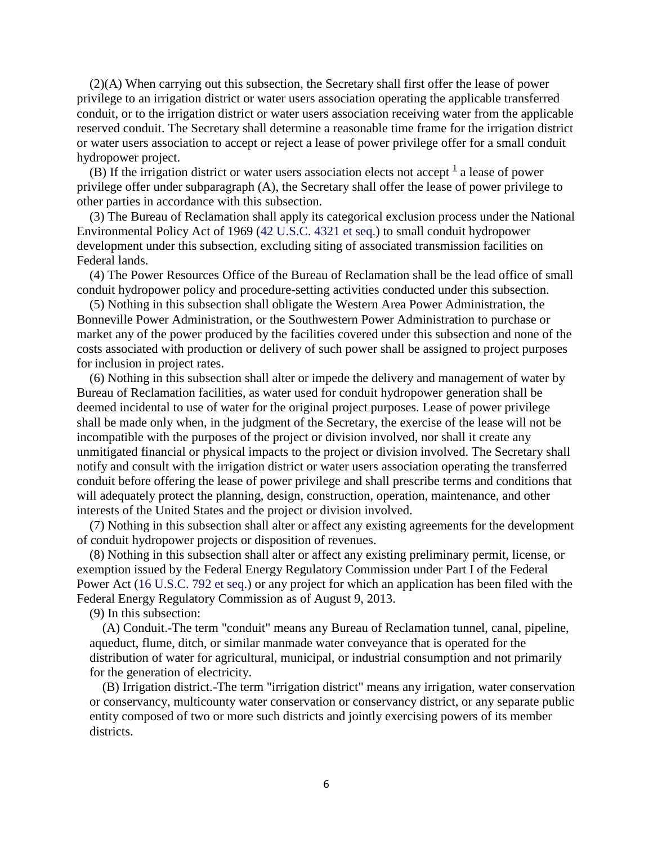(2)(A) When carrying out this subsection, the Secretary shall first offer the lease of power privilege to an irrigation district or water users association operating the applicable transferred conduit, or to the irrigation district or water users association receiving water from the applicable reserved conduit. The Secretary shall determine a reasonable time frame for the irrigation district or water users association to accept or reject a lease of power privilege offer for a small conduit hydropower project.

(B) If the irrigation district or water users association elects not accept  $\frac{1}{a}$  $\frac{1}{a}$  $\frac{1}{a}$  a lease of power privilege offer under subparagraph (A), the Secretary shall offer the lease of power privilege to other parties in accordance with this subsection.

(3) The Bureau of Reclamation shall apply its categorical exclusion process under the National Environmental Policy Act of 1969 (42 U.S.C. 4321 et seq.) to small conduit hydropower development under this subsection, excluding siting of associated transmission facilities on Federal lands.

(4) The Power Resources Office of the Bureau of Reclamation shall be the lead office of small conduit hydropower policy and procedure-setting activities conducted under this subsection.

(5) Nothing in this subsection shall obligate the Western Area Power Administration, the Bonneville Power Administration, or the Southwestern Power Administration to purchase or market any of the power produced by the facilities covered under this subsection and none of the costs associated with production or delivery of such power shall be assigned to project purposes for inclusion in project rates.

(6) Nothing in this subsection shall alter or impede the delivery and management of water by Bureau of Reclamation facilities, as water used for conduit hydropower generation shall be deemed incidental to use of water for the original project purposes. Lease of power privilege shall be made only when, in the judgment of the Secretary, the exercise of the lease will not be incompatible with the purposes of the project or division involved, nor shall it create any unmitigated financial or physical impacts to the project or division involved. The Secretary shall notify and consult with the irrigation district or water users association operating the transferred conduit before offering the lease of power privilege and shall prescribe terms and conditions that will adequately protect the planning, design, construction, operation, maintenance, and other interests of the United States and the project or division involved.

(7) Nothing in this subsection shall alter or affect any existing agreements for the development of conduit hydropower projects or disposition of revenues.

(8) Nothing in this subsection shall alter or affect any existing preliminary permit, license, or exemption issued by the Federal Energy Regulatory Commission under Part I of the Federal Power Act (16 U.S.C. 792 et seq.) or any project for which an application has been filed with the Federal Energy Regulatory Commission as of August 9, 2013.

(9) In this subsection:

(A) Conduit.-The term "conduit" means any Bureau of Reclamation tunnel, canal, pipeline, aqueduct, flume, ditch, or similar manmade water conveyance that is operated for the distribution of water for agricultural, municipal, or industrial consumption and not primarily for the generation of electricity.

(B) Irrigation district.-The term "irrigation district" means any irrigation, water conservation or conservancy, multicounty water conservation or conservancy district, or any separate public entity composed of two or more such districts and jointly exercising powers of its member districts.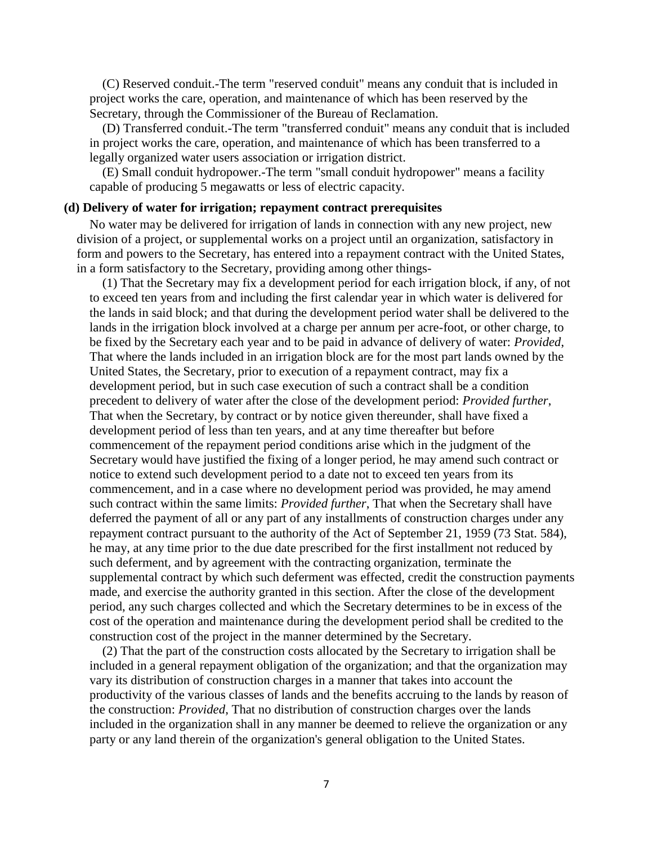(C) Reserved conduit.-The term "reserved conduit" means any conduit that is included in project works the care, operation, and maintenance of which has been reserved by the Secretary, through the Commissioner of the Bureau of Reclamation.

(D) Transferred conduit.-The term "transferred conduit" means any conduit that is included in project works the care, operation, and maintenance of which has been transferred to a legally organized water users association or irrigation district.

(E) Small conduit hydropower.-The term "small conduit hydropower" means a facility capable of producing 5 megawatts or less of electric capacity.

### **(d) Delivery of water for irrigation; repayment contract prerequisites**

No water may be delivered for irrigation of lands in connection with any new project, new division of a project, or supplemental works on a project until an organization, satisfactory in form and powers to the Secretary, has entered into a repayment contract with the United States, in a form satisfactory to the Secretary, providing among other things-

(1) That the Secretary may fix a development period for each irrigation block, if any, of not to exceed ten years from and including the first calendar year in which water is delivered for the lands in said block; and that during the development period water shall be delivered to the lands in the irrigation block involved at a charge per annum per acre-foot, or other charge, to be fixed by the Secretary each year and to be paid in advance of delivery of water: *Provided*, That where the lands included in an irrigation block are for the most part lands owned by the United States, the Secretary, prior to execution of a repayment contract, may fix a development period, but in such case execution of such a contract shall be a condition precedent to delivery of water after the close of the development period: *Provided further*, That when the Secretary, by contract or by notice given thereunder, shall have fixed a development period of less than ten years, and at any time thereafter but before commencement of the repayment period conditions arise which in the judgment of the Secretary would have justified the fixing of a longer period, he may amend such contract or notice to extend such development period to a date not to exceed ten years from its commencement, and in a case where no development period was provided, he may amend such contract within the same limits: *Provided further*, That when the Secretary shall have deferred the payment of all or any part of any installments of construction charges under any repayment contract pursuant to the authority of the Act of September 21, 1959 (73 Stat. 584), he may, at any time prior to the due date prescribed for the first installment not reduced by such deferment, and by agreement with the contracting organization, terminate the supplemental contract by which such deferment was effected, credit the construction payments made, and exercise the authority granted in this section. After the close of the development period, any such charges collected and which the Secretary determines to be in excess of the cost of the operation and maintenance during the development period shall be credited to the construction cost of the project in the manner determined by the Secretary.

(2) That the part of the construction costs allocated by the Secretary to irrigation shall be included in a general repayment obligation of the organization; and that the organization may vary its distribution of construction charges in a manner that takes into account the productivity of the various classes of lands and the benefits accruing to the lands by reason of the construction: *Provided*, That no distribution of construction charges over the lands included in the organization shall in any manner be deemed to relieve the organization or any party or any land therein of the organization's general obligation to the United States.